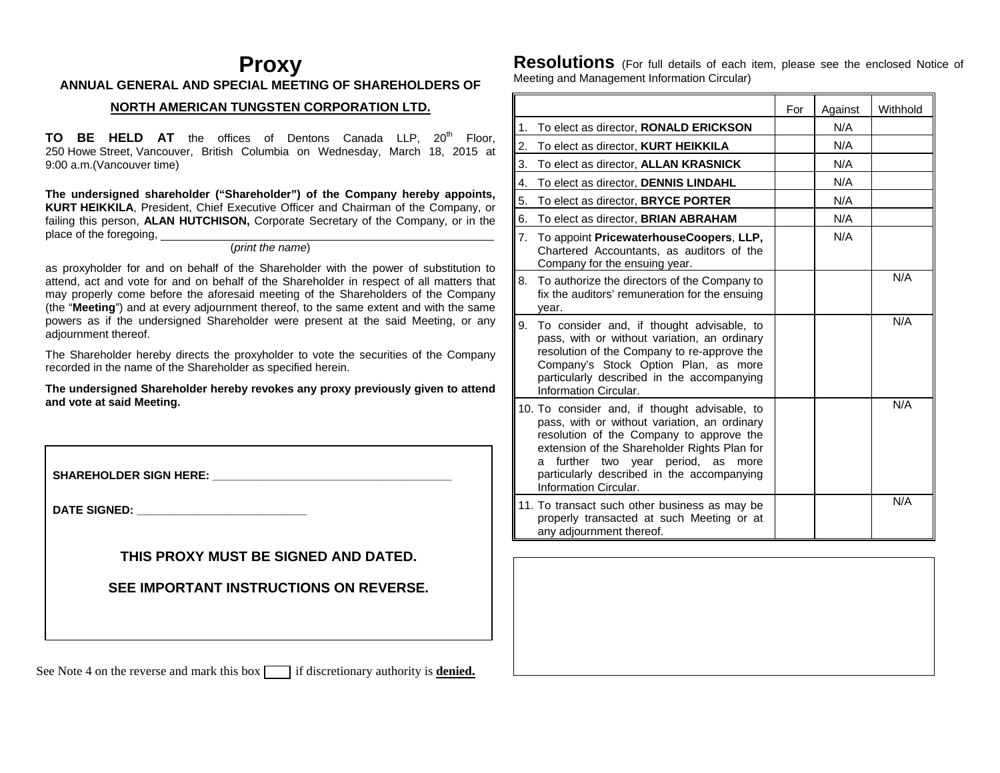## **Proxy ANNUAL GENERAL AND SPECIAL MEETING OF SHAREHOLDERS OF**

### **NORTH AMERICAN TUNGSTEN CORPORATION LTD.**

**TO BE HELD AT** the offices of Dentons Canada LLP, 20<sup>th</sup> Floor, 250 Howe Street, Vancouver, British Columbia on Wednesday, March 18, 2015 at 9:00 a.m.(Vancouver time)

**The undersigned shareholder ("Shareholder") of the Company hereby appoints, KURT HEIKKILA**, President, Chief Executive Officer and Chairman of the Company, or failing this person, **ALAN HUTCHISON,** Corporate Secretary of the Company, or in the place of the foregoing,

### (*print the name*)

as proxyholder for and on behalf of the Shareholder with the power of substitution to attend, act and vote for and on behalf of the Shareholder in respect of all matters that may properly come before the aforesaid meeting of the Shareholders of the Company (the "**Meeting**") and at every adjournment thereof, to the same extent and with the same powers as if the undersigned Shareholder were present at the said Meeting, or any adjournment thereof.

The Shareholder hereby directs the proxyholder to vote the securities of the Company recorded in the name of the Shareholder as specified herein.

**The undersigned Shareholder hereby revokes any proxy previously given to attend and vote at said Meeting.** 

SHAREHOLDER SIGN HERE:

**DATE SIGNED: \_\_\_\_\_\_\_\_\_\_\_\_\_\_\_\_\_\_\_\_\_\_\_\_\_\_\_** 

**THIS PROXY MUST BE SIGNED AND DATED.** 

**SEE IMPORTANT INSTRUCTIONS ON REVERSE.** 

See Note 4 on the reverse and mark this box  $\Box$  if discretionary authority is **denied.** 

**Resolutions** (For full details of each item, please see the enclosed Notice of Meeting and Management Information Circular)

|                                                                                                            |                                                                                                                                                                                                                                | For | Against | Withhold |
|------------------------------------------------------------------------------------------------------------|--------------------------------------------------------------------------------------------------------------------------------------------------------------------------------------------------------------------------------|-----|---------|----------|
| To elect as director, RONALD ERICKSON<br>1.                                                                |                                                                                                                                                                                                                                |     | N/A     |          |
| 2.<br>To elect as director, KURT HEIKKILA                                                                  |                                                                                                                                                                                                                                |     | N/A     |          |
| 3.<br>To elect as director, ALLAN KRASNICK                                                                 |                                                                                                                                                                                                                                |     | N/A     |          |
| To elect as director, DENNIS LINDAHL<br>4.                                                                 |                                                                                                                                                                                                                                |     | N/A     |          |
| 5.<br>To elect as director, BRYCE PORTER                                                                   |                                                                                                                                                                                                                                |     | N/A     |          |
| 6.<br>To elect as director, <b>BRIAN ABRAHAM</b>                                                           |                                                                                                                                                                                                                                |     | N/A     |          |
| 7.<br>Company for the ensuing year.                                                                        | To appoint PricewaterhouseCoopers, LLP,<br>Chartered Accountants, as auditors of the                                                                                                                                           |     | N/A     |          |
| 8.<br>year.                                                                                                | To authorize the directors of the Company to<br>fix the auditors' remuneration for the ensuing                                                                                                                                 |     |         | N/A      |
| 9.<br>Information Circular.                                                                                | To consider and, if thought advisable, to<br>pass, with or without variation, an ordinary<br>resolution of the Company to re-approve the<br>Company's Stock Option Plan, as more<br>particularly described in the accompanying |     |         | N/A      |
| 10. To consider and, if thought advisable, to<br>further two year period, as<br>a<br>Information Circular. | pass, with or without variation, an ordinary<br>resolution of the Company to approve the<br>extension of the Shareholder Rights Plan for<br>more<br>particularly described in the accompanying                                 |     |         | N/A      |
| 11. To transact such other business as may be<br>any adjournment thereof.                                  | properly transacted at such Meeting or at                                                                                                                                                                                      |     |         | N/A      |